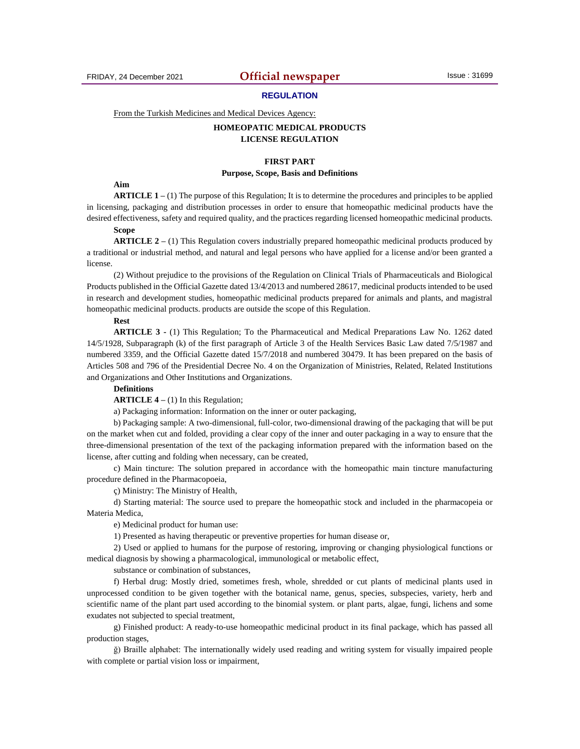## **REGULATION**

From the Turkish Medicines and Medical Devices Agency:

# **HOMEOPATIC MEDICAL PRODUCTS LICENSE REGULATION**

## **FIRST PART**

## **Purpose, Scope, Basis and Definitions**

## **Aim**

**ARTICLE 1 –** (1) The purpose of this Regulation; It is to determine the procedures and principles to be applied in licensing, packaging and distribution processes in order to ensure that homeopathic medicinal products have the desired effectiveness, safety and required quality, and the practices regarding licensed homeopathic medicinal products.

# **Scope**

**ARTICLE 2** – (1) This Regulation covers industrially prepared homeopathic medicinal products produced by a traditional or industrial method, and natural and legal persons who have applied for a license and/or been granted a license.

(2) Without prejudice to the provisions of the Regulation on Clinical Trials of Pharmaceuticals and Biological Products published in the Official Gazette dated 13/4/2013 and numbered 28617, medicinal products intended to be used in research and development studies, homeopathic medicinal products prepared for animals and plants, and magistral homeopathic medicinal products. products are outside the scope of this Regulation.

## **Rest**

**ARTICLE 3 -** (1) This Regulation; To the Pharmaceutical and Medical Preparations Law No. 1262 dated 14/5/1928, Subparagraph (k) of the first paragraph of Article 3 of the Health Services Basic Law dated 7/5/1987 and numbered 3359, and the Official Gazette dated 15/7/2018 and numbered 30479. It has been prepared on the basis of Articles 508 and 796 of the Presidential Decree No. 4 on the Organization of Ministries, Related, Related Institutions and Organizations and Other Institutions and Organizations.

## **Definitions**

**ARTICLE 4 –** (1) In this Regulation;

a) Packaging information: Information on the inner or outer packaging,

b) Packaging sample: A two-dimensional, full-color, two-dimensional drawing of the packaging that will be put on the market when cut and folded, providing a clear copy of the inner and outer packaging in a way to ensure that the three-dimensional presentation of the text of the packaging information prepared with the information based on the license, after cutting and folding when necessary, can be created,

c) Main tincture: The solution prepared in accordance with the homeopathic main tincture manufacturing procedure defined in the Pharmacopoeia,

ç) Ministry: The Ministry of Health,

d) Starting material: The source used to prepare the homeopathic stock and included in the pharmacopeia or Materia Medica,

e) Medicinal product for human use:

1) Presented as having therapeutic or preventive properties for human disease or,

2) Used or applied to humans for the purpose of restoring, improving or changing physiological functions or medical diagnosis by showing a pharmacological, immunological or metabolic effect,

substance or combination of substances,

f) Herbal drug: Mostly dried, sometimes fresh, whole, shredded or cut plants of medicinal plants used in unprocessed condition to be given together with the botanical name, genus, species, subspecies, variety, herb and scientific name of the plant part used according to the binomial system. or plant parts, algae, fungi, lichens and some exudates not subjected to special treatment,

g) Finished product: A ready-to-use homeopathic medicinal product in its final package, which has passed all production stages,

ğ) Braille alphabet: The internationally widely used reading and writing system for visually impaired people with complete or partial vision loss or impairment,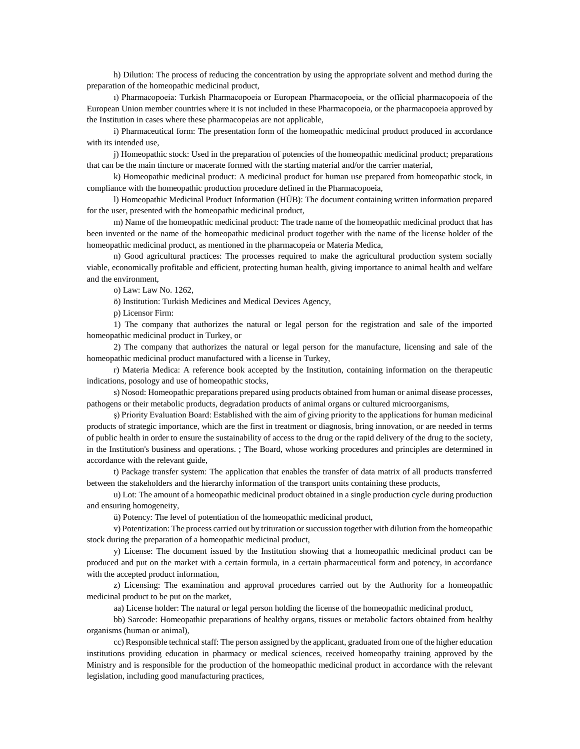h) Dilution: The process of reducing the concentration by using the appropriate solvent and method during the preparation of the homeopathic medicinal product,

ı) Pharmacopoeia: Turkish Pharmacopoeia or European Pharmacopoeia, or the official pharmacopoeia of the European Union member countries where it is not included in these Pharmacopoeia, or the pharmacopoeia approved by the Institution in cases where these pharmacopeias are not applicable,

i) Pharmaceutical form: The presentation form of the homeopathic medicinal product produced in accordance with its intended use,

j) Homeopathic stock: Used in the preparation of potencies of the homeopathic medicinal product; preparations that can be the main tincture or macerate formed with the starting material and/or the carrier material,

k) Homeopathic medicinal product: A medicinal product for human use prepared from homeopathic stock, in compliance with the homeopathic production procedure defined in the Pharmacopoeia,

l) Homeopathic Medicinal Product Information (HÜB): The document containing written information prepared for the user, presented with the homeopathic medicinal product,

m) Name of the homeopathic medicinal product: The trade name of the homeopathic medicinal product that has been invented or the name of the homeopathic medicinal product together with the name of the license holder of the homeopathic medicinal product, as mentioned in the pharmacopeia or Materia Medica,

n) Good agricultural practices: The processes required to make the agricultural production system socially viable, economically profitable and efficient, protecting human health, giving importance to animal health and welfare and the environment,

o) Law: Law No. 1262,

ö) Institution: Turkish Medicines and Medical Devices Agency,

p) Licensor Firm:

1) The company that authorizes the natural or legal person for the registration and sale of the imported homeopathic medicinal product in Turkey, or

2) The company that authorizes the natural or legal person for the manufacture, licensing and sale of the homeopathic medicinal product manufactured with a license in Turkey,

r) Materia Medica: A reference book accepted by the Institution, containing information on the therapeutic indications, posology and use of homeopathic stocks,

s) Nosod: Homeopathic preparations prepared using products obtained from human or animal disease processes, pathogens or their metabolic products, degradation products of animal organs or cultured microorganisms,

ş) Priority Evaluation Board: Established with the aim of giving priority to the applications for human medicinal products of strategic importance, which are the first in treatment or diagnosis, bring innovation, or are needed in terms of public health in order to ensure the sustainability of access to the drug or the rapid delivery of the drug to the society, in the Institution's business and operations. ; The Board, whose working procedures and principles are determined in accordance with the relevant guide,

t) Package transfer system: The application that enables the transfer of data matrix of all products transferred between the stakeholders and the hierarchy information of the transport units containing these products,

u) Lot: The amount of a homeopathic medicinal product obtained in a single production cycle during production and ensuring homogeneity,

ü) Potency: The level of potentiation of the homeopathic medicinal product,

v) Potentization: The process carried out by trituration or succussion together with dilution from the homeopathic stock during the preparation of a homeopathic medicinal product,

y) License: The document issued by the Institution showing that a homeopathic medicinal product can be produced and put on the market with a certain formula, in a certain pharmaceutical form and potency, in accordance with the accepted product information,

z) Licensing: The examination and approval procedures carried out by the Authority for a homeopathic medicinal product to be put on the market,

aa) License holder: The natural or legal person holding the license of the homeopathic medicinal product,

bb) Sarcode: Homeopathic preparations of healthy organs, tissues or metabolic factors obtained from healthy organisms (human or animal),

cc) Responsible technical staff: The person assigned by the applicant, graduated from one of the higher education institutions providing education in pharmacy or medical sciences, received homeopathy training approved by the Ministry and is responsible for the production of the homeopathic medicinal product in accordance with the relevant legislation, including good manufacturing practices,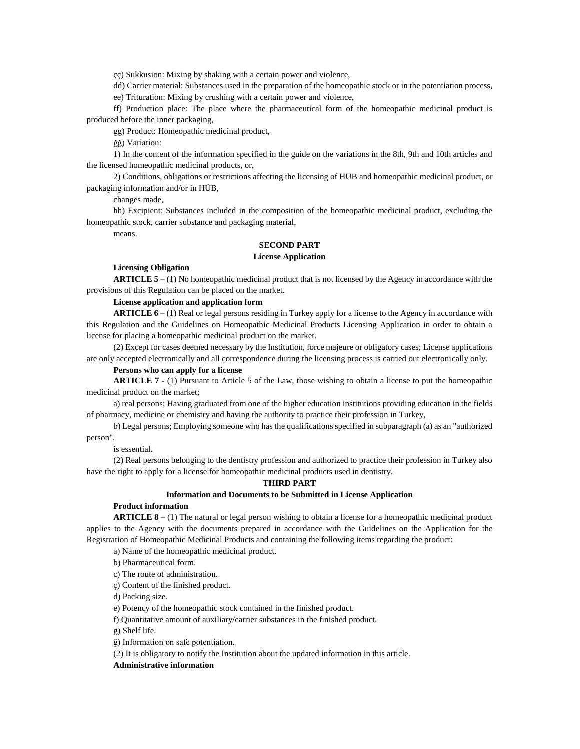çç) Sukkusion: Mixing by shaking with a certain power and violence,

dd) Carrier material: Substances used in the preparation of the homeopathic stock or in the potentiation process,

ee) Trituration: Mixing by crushing with a certain power and violence,

ff) Production place: The place where the pharmaceutical form of the homeopathic medicinal product is produced before the inner packaging,

gg) Product: Homeopathic medicinal product,

ğğ) Variation:

1) In the content of the information specified in the guide on the variations in the 8th, 9th and 10th articles and the licensed homeopathic medicinal products, or,

2) Conditions, obligations or restrictions affecting the licensing of HUB and homeopathic medicinal product, or packaging information and/or in HÜB,

changes made,

hh) Excipient: Substances included in the composition of the homeopathic medicinal product, excluding the homeopathic stock, carrier substance and packaging material,

means.

## **SECOND PART**

#### **License Application**

## **Licensing Obligation**

**ARTICLE 5 –** (1) No homeopathic medicinal product that is not licensed by the Agency in accordance with the provisions of this Regulation can be placed on the market.

## **License application and application form**

**ARTICLE 6 –** (1) Real or legal persons residing in Turkey apply for a license to the Agency in accordance with this Regulation and the Guidelines on Homeopathic Medicinal Products Licensing Application in order to obtain a license for placing a homeopathic medicinal product on the market.

(2) Except for cases deemed necessary by the Institution, force majeure or obligatory cases; License applications are only accepted electronically and all correspondence during the licensing process is carried out electronically only.

# **Persons who can apply for a license**

**ARTICLE 7 -** (1) Pursuant to Article 5 of the Law, those wishing to obtain a license to put the homeopathic medicinal product on the market;

a) real persons; Having graduated from one of the higher education institutions providing education in the fields of pharmacy, medicine or chemistry and having the authority to practice their profession in Turkey,

b) Legal persons; Employing someone who has the qualifications specified in subparagraph (a) as an "authorized person",

is essential.

(2) Real persons belonging to the dentistry profession and authorized to practice their profession in Turkey also have the right to apply for a license for homeopathic medicinal products used in dentistry.

## **THIRD PART**

# **Information and Documents to be Submitted in License Application**

# **Product information**

**ARTICLE 8 –** (1) The natural or legal person wishing to obtain a license for a homeopathic medicinal product applies to the Agency with the documents prepared in accordance with the Guidelines on the Application for the Registration of Homeopathic Medicinal Products and containing the following items regarding the product:

a) Name of the homeopathic medicinal product.

b) Pharmaceutical form.

c) The route of administration.

ç) Content of the finished product.

d) Packing size.

e) Potency of the homeopathic stock contained in the finished product.

f) Quantitative amount of auxiliary/carrier substances in the finished product.

g) Shelf life.

ğ) Information on safe potentiation.

(2) It is obligatory to notify the Institution about the updated information in this article.

# **Administrative information**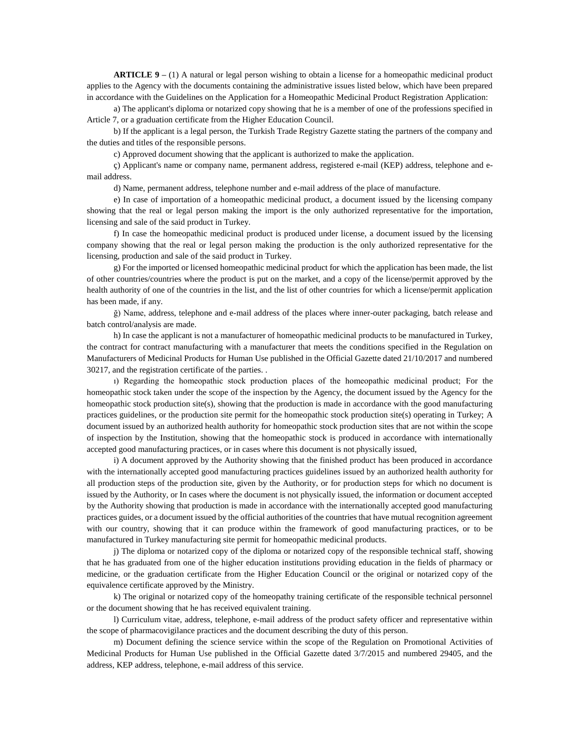**ARTICLE 9 –** (1) A natural or legal person wishing to obtain a license for a homeopathic medicinal product applies to the Agency with the documents containing the administrative issues listed below, which have been prepared in accordance with the Guidelines on the Application for a Homeopathic Medicinal Product Registration Application:

a) The applicant's diploma or notarized copy showing that he is a member of one of the professions specified in Article 7, or a graduation certificate from the Higher Education Council.

b) If the applicant is a legal person, the Turkish Trade Registry Gazette stating the partners of the company and the duties and titles of the responsible persons.

c) Approved document showing that the applicant is authorized to make the application.

ç) Applicant's name or company name, permanent address, registered e-mail (KEP) address, telephone and email address.

d) Name, permanent address, telephone number and e-mail address of the place of manufacture.

e) In case of importation of a homeopathic medicinal product, a document issued by the licensing company showing that the real or legal person making the import is the only authorized representative for the importation, licensing and sale of the said product in Turkey.

f) In case the homeopathic medicinal product is produced under license, a document issued by the licensing company showing that the real or legal person making the production is the only authorized representative for the licensing, production and sale of the said product in Turkey.

g) For the imported or licensed homeopathic medicinal product for which the application has been made, the list of other countries/countries where the product is put on the market, and a copy of the license/permit approved by the health authority of one of the countries in the list, and the list of other countries for which a license/permit application has been made, if any.

ğ) Name, address, telephone and e-mail address of the places where inner-outer packaging, batch release and batch control/analysis are made.

h) In case the applicant is not a manufacturer of homeopathic medicinal products to be manufactured in Turkey, the contract for contract manufacturing with a manufacturer that meets the conditions specified in the Regulation on Manufacturers of Medicinal Products for Human Use published in the Official Gazette dated 21/10/2017 and numbered 30217, and the registration certificate of the parties. .

ı) Regarding the homeopathic stock production places of the homeopathic medicinal product; For the homeopathic stock taken under the scope of the inspection by the Agency, the document issued by the Agency for the homeopathic stock production site(s), showing that the production is made in accordance with the good manufacturing practices guidelines, or the production site permit for the homeopathic stock production site(s) operating in Turkey; A document issued by an authorized health authority for homeopathic stock production sites that are not within the scope of inspection by the Institution, showing that the homeopathic stock is produced in accordance with internationally accepted good manufacturing practices, or in cases where this document is not physically issued,

i) A document approved by the Authority showing that the finished product has been produced in accordance with the internationally accepted good manufacturing practices guidelines issued by an authorized health authority for all production steps of the production site, given by the Authority, or for production steps for which no document is issued by the Authority, or In cases where the document is not physically issued, the information or document accepted by the Authority showing that production is made in accordance with the internationally accepted good manufacturing practices guides, or a document issued by the official authorities of the countries that have mutual recognition agreement with our country, showing that it can produce within the framework of good manufacturing practices, or to be manufactured in Turkey manufacturing site permit for homeopathic medicinal products.

j) The diploma or notarized copy of the diploma or notarized copy of the responsible technical staff, showing that he has graduated from one of the higher education institutions providing education in the fields of pharmacy or medicine, or the graduation certificate from the Higher Education Council or the original or notarized copy of the equivalence certificate approved by the Ministry.

k) The original or notarized copy of the homeopathy training certificate of the responsible technical personnel or the document showing that he has received equivalent training.

l) Curriculum vitae, address, telephone, e-mail address of the product safety officer and representative within the scope of pharmacovigilance practices and the document describing the duty of this person.

m) Document defining the science service within the scope of the Regulation on Promotional Activities of Medicinal Products for Human Use published in the Official Gazette dated 3/7/2015 and numbered 29405, and the address, KEP address, telephone, e-mail address of this service.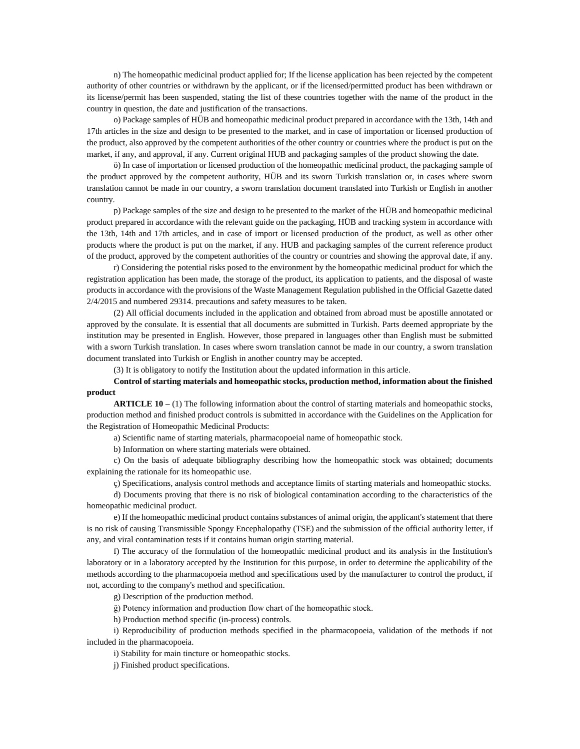n) The homeopathic medicinal product applied for; If the license application has been rejected by the competent authority of other countries or withdrawn by the applicant, or if the licensed/permitted product has been withdrawn or its license/permit has been suspended, stating the list of these countries together with the name of the product in the country in question, the date and justification of the transactions.

o) Package samples of HÜB and homeopathic medicinal product prepared in accordance with the 13th, 14th and 17th articles in the size and design to be presented to the market, and in case of importation or licensed production of the product, also approved by the competent authorities of the other country or countries where the product is put on the market, if any, and approval, if any. Current original HUB and packaging samples of the product showing the date.

ö) In case of importation or licensed production of the homeopathic medicinal product, the packaging sample of the product approved by the competent authority, HÜB and its sworn Turkish translation or, in cases where sworn translation cannot be made in our country, a sworn translation document translated into Turkish or English in another country.

p) Package samples of the size and design to be presented to the market of the HÜB and homeopathic medicinal product prepared in accordance with the relevant guide on the packaging, HÜB and tracking system in accordance with the 13th, 14th and 17th articles, and in case of import or licensed production of the product, as well as other other products where the product is put on the market, if any. HUB and packaging samples of the current reference product of the product, approved by the competent authorities of the country or countries and showing the approval date, if any.

r) Considering the potential risks posed to the environment by the homeopathic medicinal product for which the registration application has been made, the storage of the product, its application to patients, and the disposal of waste products in accordance with the provisions of the Waste Management Regulation published in the Official Gazette dated 2/4/2015 and numbered 29314. precautions and safety measures to be taken.

(2) All official documents included in the application and obtained from abroad must be apostille annotated or approved by the consulate. It is essential that all documents are submitted in Turkish. Parts deemed appropriate by the institution may be presented in English. However, those prepared in languages other than English must be submitted with a sworn Turkish translation. In cases where sworn translation cannot be made in our country, a sworn translation document translated into Turkish or English in another country may be accepted.

(3) It is obligatory to notify the Institution about the updated information in this article.

# **Control of starting materials and homeopathic stocks, production method, information about the finished product**

**ARTICLE 10** – (1) The following information about the control of starting materials and homeopathic stocks, production method and finished product controls is submitted in accordance with the Guidelines on the Application for the Registration of Homeopathic Medicinal Products:

a) Scientific name of starting materials, pharmacopoeial name of homeopathic stock.

b) Information on where starting materials were obtained.

c) On the basis of adequate bibliography describing how the homeopathic stock was obtained; documents explaining the rationale for its homeopathic use.

ç) Specifications, analysis control methods and acceptance limits of starting materials and homeopathic stocks.

d) Documents proving that there is no risk of biological contamination according to the characteristics of the homeopathic medicinal product.

e) If the homeopathic medicinal product contains substances of animal origin, the applicant's statement that there is no risk of causing Transmissible Spongy Encephalopathy (TSE) and the submission of the official authority letter, if any, and viral contamination tests if it contains human origin starting material.

f) The accuracy of the formulation of the homeopathic medicinal product and its analysis in the Institution's laboratory or in a laboratory accepted by the Institution for this purpose, in order to determine the applicability of the methods according to the pharmacopoeia method and specifications used by the manufacturer to control the product, if not, according to the company's method and specification.

g) Description of the production method.

ğ) Potency information and production flow chart of the homeopathic stock.

h) Production method specific (in-process) controls.

i) Reproducibility of production methods specified in the pharmacopoeia, validation of the methods if not included in the pharmacopoeia.

i) Stability for main tincture or homeopathic stocks.

j) Finished product specifications.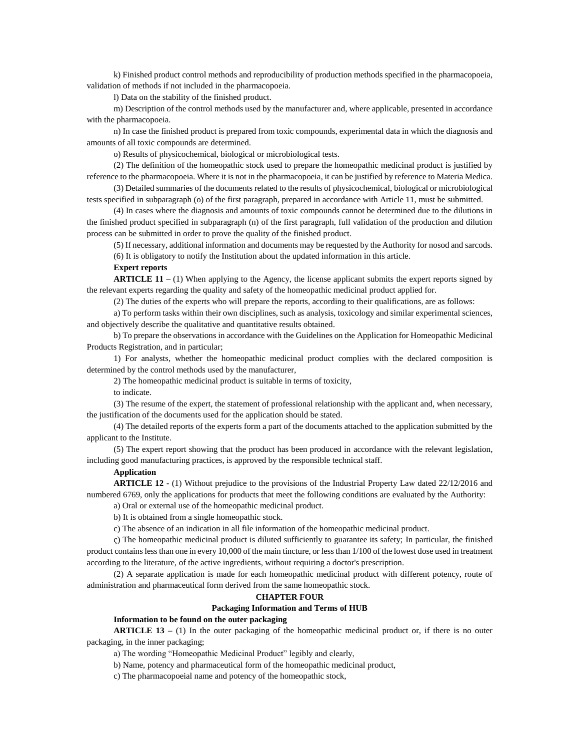k) Finished product control methods and reproducibility of production methods specified in the pharmacopoeia, validation of methods if not included in the pharmacopoeia.

l) Data on the stability of the finished product.

m) Description of the control methods used by the manufacturer and, where applicable, presented in accordance with the pharmacopoeia.

n) In case the finished product is prepared from toxic compounds, experimental data in which the diagnosis and amounts of all toxic compounds are determined.

o) Results of physicochemical, biological or microbiological tests.

(2) The definition of the homeopathic stock used to prepare the homeopathic medicinal product is justified by reference to the pharmacopoeia. Where it is not in the pharmacopoeia, it can be justified by reference to Materia Medica.

(3) Detailed summaries of the documents related to the results of physicochemical, biological or microbiological tests specified in subparagraph (o) of the first paragraph, prepared in accordance with Article 11, must be submitted.

(4) In cases where the diagnosis and amounts of toxic compounds cannot be determined due to the dilutions in the finished product specified in subparagraph (n) of the first paragraph, full validation of the production and dilution process can be submitted in order to prove the quality of the finished product.

(5) If necessary, additional information and documents may be requested by the Authority for nosod and sarcods. (6) It is obligatory to notify the Institution about the updated information in this article.

#### **Expert reports**

**ARTICLE 11** – (1) When applying to the Agency, the license applicant submits the expert reports signed by the relevant experts regarding the quality and safety of the homeopathic medicinal product applied for.

(2) The duties of the experts who will prepare the reports, according to their qualifications, are as follows:

a) To perform tasks within their own disciplines, such as analysis, toxicology and similar experimental sciences, and objectively describe the qualitative and quantitative results obtained.

b) To prepare the observations in accordance with the Guidelines on the Application for Homeopathic Medicinal Products Registration, and in particular;

1) For analysts, whether the homeopathic medicinal product complies with the declared composition is determined by the control methods used by the manufacturer,

2) The homeopathic medicinal product is suitable in terms of toxicity,

to indicate.

(3) The resume of the expert, the statement of professional relationship with the applicant and, when necessary, the justification of the documents used for the application should be stated.

(4) The detailed reports of the experts form a part of the documents attached to the application submitted by the applicant to the Institute.

(5) The expert report showing that the product has been produced in accordance with the relevant legislation, including good manufacturing practices, is approved by the responsible technical staff.

## **Application**

**ARTICLE 12 -** (1) Without prejudice to the provisions of the Industrial Property Law dated 22/12/2016 and numbered 6769, only the applications for products that meet the following conditions are evaluated by the Authority:

a) Oral or external use of the homeopathic medicinal product.

b) It is obtained from a single homeopathic stock.

c) The absence of an indication in all file information of the homeopathic medicinal product.

ç) The homeopathic medicinal product is diluted sufficiently to guarantee its safety; In particular, the finished product contains less than one in every 10,000 of the main tincture, or less than 1/100 of the lowest dose used in treatment according to the literature, of the active ingredients, without requiring a doctor's prescription.

(2) A separate application is made for each homeopathic medicinal product with different potency, route of administration and pharmaceutical form derived from the same homeopathic stock.

## **CHAPTER FOUR**

## **Packaging Information and Terms of HUB**

**Information to be found on the outer packaging**

**ARTICLE 13 –** (1) In the outer packaging of the homeopathic medicinal product or, if there is no outer packaging, in the inner packaging;

a) The wording "Homeopathic Medicinal Product" legibly and clearly,

b) Name, potency and pharmaceutical form of the homeopathic medicinal product,

c) The pharmacopoeial name and potency of the homeopathic stock,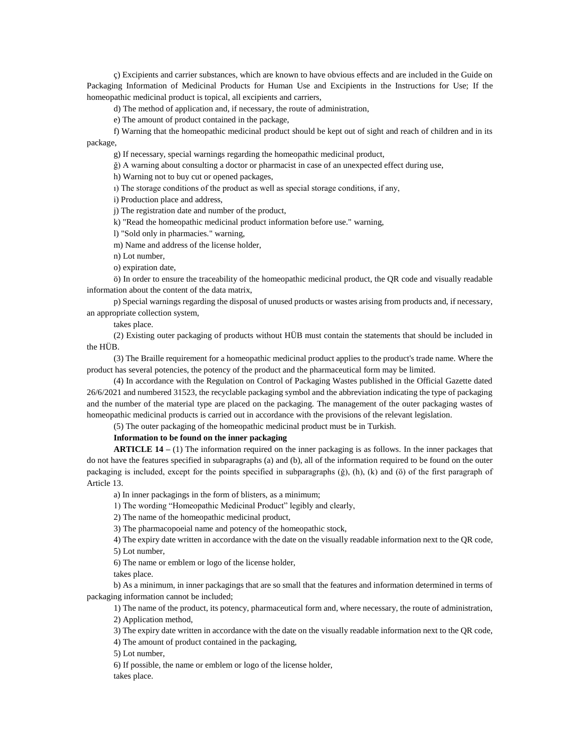ç) Excipients and carrier substances, which are known to have obvious effects and are included in the Guide on Packaging Information of Medicinal Products for Human Use and Excipients in the Instructions for Use; If the homeopathic medicinal product is topical, all excipients and carriers,

d) The method of application and, if necessary, the route of administration,

e) The amount of product contained in the package,

f) Warning that the homeopathic medicinal product should be kept out of sight and reach of children and in its package,

g) If necessary, special warnings regarding the homeopathic medicinal product,

ğ) A warning about consulting a doctor or pharmacist in case of an unexpected effect during use,

h) Warning not to buy cut or opened packages,

ı) The storage conditions of the product as well as special storage conditions, if any,

i) Production place and address,

j) The registration date and number of the product,

k) "Read the homeopathic medicinal product information before use." warning,

l) "Sold only in pharmacies." warning,

m) Name and address of the license holder,

n) Lot number,

o) expiration date,

ö) In order to ensure the traceability of the homeopathic medicinal product, the QR code and visually readable information about the content of the data matrix,

p) Special warnings regarding the disposal of unused products or wastes arising from products and, if necessary, an appropriate collection system,

takes place.

(2) Existing outer packaging of products without HÜB must contain the statements that should be included in the HÜB.

(3) The Braille requirement for a homeopathic medicinal product applies to the product's trade name. Where the product has several potencies, the potency of the product and the pharmaceutical form may be limited.

(4) In accordance with the Regulation on Control of Packaging Wastes published in the Official Gazette dated 26/6/2021 and numbered 31523, the recyclable packaging symbol and the abbreviation indicating the type of packaging and the number of the material type are placed on the packaging. The management of the outer packaging wastes of homeopathic medicinal products is carried out in accordance with the provisions of the relevant legislation.

(5) The outer packaging of the homeopathic medicinal product must be in Turkish.

**Information to be found on the inner packaging**

**ARTICLE 14 –** (1) The information required on the inner packaging is as follows. In the inner packages that do not have the features specified in subparagraphs (a) and (b), all of the information required to be found on the outer packaging is included, except for the points specified in subparagraphs  $(\check{g})$ ,  $(h)$ ,  $(k)$  and  $(\check{o})$  of the first paragraph of Article 13.

a) In inner packagings in the form of blisters, as a minimum;

1) The wording "Homeopathic Medicinal Product" legibly and clearly,

2) The name of the homeopathic medicinal product,

3) The pharmacopoeial name and potency of the homeopathic stock,

4) The expiry date written in accordance with the date on the visually readable information next to the QR code, 5) Lot number,

6) The name or emblem or logo of the license holder,

takes place.

b) As a minimum, in inner packagings that are so small that the features and information determined in terms of packaging information cannot be included;

1) The name of the product, its potency, pharmaceutical form and, where necessary, the route of administration,

2) Application method,

3) The expiry date written in accordance with the date on the visually readable information next to the QR code,

4) The amount of product contained in the packaging,

5) Lot number,

6) If possible, the name or emblem or logo of the license holder, takes place.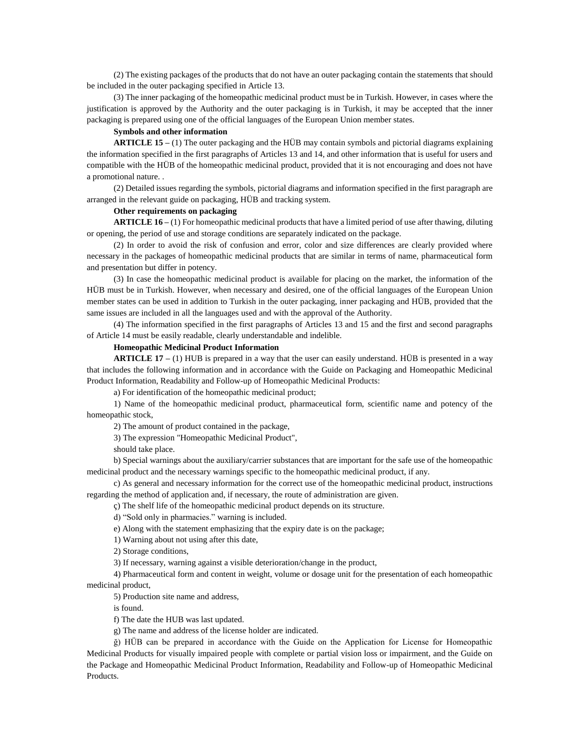(2) The existing packages of the products that do not have an outer packaging contain the statements that should be included in the outer packaging specified in Article 13.

(3) The inner packaging of the homeopathic medicinal product must be in Turkish. However, in cases where the justification is approved by the Authority and the outer packaging is in Turkish, it may be accepted that the inner packaging is prepared using one of the official languages of the European Union member states.

## **Symbols and other information**

**ARTICLE 15 –** (1) The outer packaging and the HÜB may contain symbols and pictorial diagrams explaining the information specified in the first paragraphs of Articles 13 and 14, and other information that is useful for users and compatible with the HÜB of the homeopathic medicinal product, provided that it is not encouraging and does not have a promotional nature. .

(2) Detailed issues regarding the symbols, pictorial diagrams and information specified in the first paragraph are arranged in the relevant guide on packaging, HÜB and tracking system.

## **Other requirements on packaging**

**ARTICLE 16 –** (1) For homeopathic medicinal products that have a limited period of use after thawing, diluting or opening, the period of use and storage conditions are separately indicated on the package.

(2) In order to avoid the risk of confusion and error, color and size differences are clearly provided where necessary in the packages of homeopathic medicinal products that are similar in terms of name, pharmaceutical form and presentation but differ in potency.

(3) In case the homeopathic medicinal product is available for placing on the market, the information of the HÜB must be in Turkish. However, when necessary and desired, one of the official languages of the European Union member states can be used in addition to Turkish in the outer packaging, inner packaging and HÜB, provided that the same issues are included in all the languages used and with the approval of the Authority.

(4) The information specified in the first paragraphs of Articles 13 and 15 and the first and second paragraphs of Article 14 must be easily readable, clearly understandable and indelible.

### **Homeopathic Medicinal Product Information**

**ARTICLE 17 –** (1) HUB is prepared in a way that the user can easily understand. HÜB is presented in a way that includes the following information and in accordance with the Guide on Packaging and Homeopathic Medicinal Product Information, Readability and Follow-up of Homeopathic Medicinal Products:

a) For identification of the homeopathic medicinal product;

1) Name of the homeopathic medicinal product, pharmaceutical form, scientific name and potency of the homeopathic stock,

2) The amount of product contained in the package,

3) The expression "Homeopathic Medicinal Product",

should take place.

b) Special warnings about the auxiliary/carrier substances that are important for the safe use of the homeopathic medicinal product and the necessary warnings specific to the homeopathic medicinal product, if any.

c) As general and necessary information for the correct use of the homeopathic medicinal product, instructions regarding the method of application and, if necessary, the route of administration are given.

ç) The shelf life of the homeopathic medicinal product depends on its structure.

d) "Sold only in pharmacies." warning is included.

e) Along with the statement emphasizing that the expiry date is on the package;

1) Warning about not using after this date,

2) Storage conditions,

3) If necessary, warning against a visible deterioration/change in the product,

4) Pharmaceutical form and content in weight, volume or dosage unit for the presentation of each homeopathic medicinal product,

5) Production site name and address,

is found.

f) The date the HUB was last updated.

g) The name and address of the license holder are indicated.

ğ) HÜB can be prepared in accordance with the Guide on the Application for License for Homeopathic Medicinal Products for visually impaired people with complete or partial vision loss or impairment, and the Guide on the Package and Homeopathic Medicinal Product Information, Readability and Follow-up of Homeopathic Medicinal Products.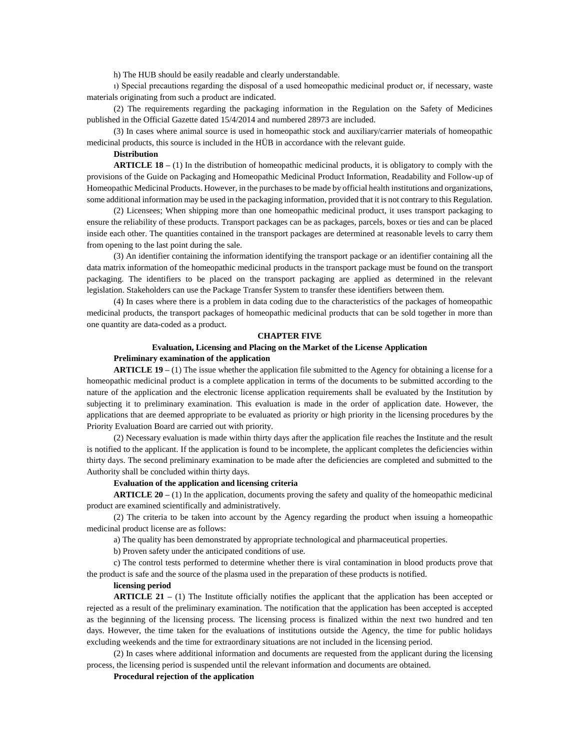h) The HUB should be easily readable and clearly understandable.

ı) Special precautions regarding the disposal of a used homeopathic medicinal product or, if necessary, waste materials originating from such a product are indicated.

(2) The requirements regarding the packaging information in the Regulation on the Safety of Medicines published in the Official Gazette dated 15/4/2014 and numbered 28973 are included.

(3) In cases where animal source is used in homeopathic stock and auxiliary/carrier materials of homeopathic medicinal products, this source is included in the HÜB in accordance with the relevant guide.

## **Distribution**

**ARTICLE 18 –** (1) In the distribution of homeopathic medicinal products, it is obligatory to comply with the provisions of the Guide on Packaging and Homeopathic Medicinal Product Information, Readability and Follow-up of Homeopathic Medicinal Products. However, in the purchases to be made by official health institutions and organizations, some additional information may be used in the packaging information, provided that it is not contrary to this Regulation.

(2) Licensees; When shipping more than one homeopathic medicinal product, it uses transport packaging to ensure the reliability of these products. Transport packages can be as packages, parcels, boxes or ties and can be placed inside each other. The quantities contained in the transport packages are determined at reasonable levels to carry them from opening to the last point during the sale.

(3) An identifier containing the information identifying the transport package or an identifier containing all the data matrix information of the homeopathic medicinal products in the transport package must be found on the transport packaging. The identifiers to be placed on the transport packaging are applied as determined in the relevant legislation. Stakeholders can use the Package Transfer System to transfer these identifiers between them.

(4) In cases where there is a problem in data coding due to the characteristics of the packages of homeopathic medicinal products, the transport packages of homeopathic medicinal products that can be sold together in more than one quantity are data-coded as a product.

#### **CHAPTER FIVE**

# **Evaluation, Licensing and Placing on the Market of the License Application**

# **Preliminary examination of the application**

**ARTICLE 19 –** (1) The issue whether the application file submitted to the Agency for obtaining a license for a homeopathic medicinal product is a complete application in terms of the documents to be submitted according to the nature of the application and the electronic license application requirements shall be evaluated by the Institution by subjecting it to preliminary examination. This evaluation is made in the order of application date. However, the applications that are deemed appropriate to be evaluated as priority or high priority in the licensing procedures by the Priority Evaluation Board are carried out with priority.

(2) Necessary evaluation is made within thirty days after the application file reaches the Institute and the result is notified to the applicant. If the application is found to be incomplete, the applicant completes the deficiencies within thirty days. The second preliminary examination to be made after the deficiencies are completed and submitted to the Authority shall be concluded within thirty days.

## **Evaluation of the application and licensing criteria**

**ARTICLE 20 –** (1) In the application, documents proving the safety and quality of the homeopathic medicinal product are examined scientifically and administratively.

(2) The criteria to be taken into account by the Agency regarding the product when issuing a homeopathic medicinal product license are as follows:

a) The quality has been demonstrated by appropriate technological and pharmaceutical properties.

b) Proven safety under the anticipated conditions of use.

c) The control tests performed to determine whether there is viral contamination in blood products prove that the product is safe and the source of the plasma used in the preparation of these products is notified.

#### **licensing period**

**ARTICLE 21** – (1) The Institute officially notifies the applicant that the application has been accepted or rejected as a result of the preliminary examination. The notification that the application has been accepted is accepted as the beginning of the licensing process. The licensing process is finalized within the next two hundred and ten days. However, the time taken for the evaluations of institutions outside the Agency, the time for public holidays excluding weekends and the time for extraordinary situations are not included in the licensing period.

(2) In cases where additional information and documents are requested from the applicant during the licensing process, the licensing period is suspended until the relevant information and documents are obtained.

## **Procedural rejection of the application**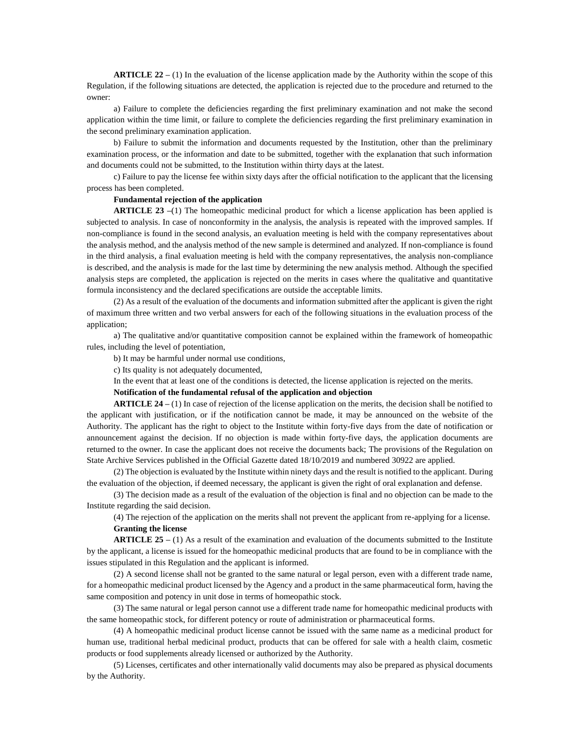**ARTICLE 22 –** (1) In the evaluation of the license application made by the Authority within the scope of this Regulation, if the following situations are detected, the application is rejected due to the procedure and returned to the owner:

a) Failure to complete the deficiencies regarding the first preliminary examination and not make the second application within the time limit, or failure to complete the deficiencies regarding the first preliminary examination in the second preliminary examination application.

b) Failure to submit the information and documents requested by the Institution, other than the preliminary examination process, or the information and date to be submitted, together with the explanation that such information and documents could not be submitted, to the Institution within thirty days at the latest.

c) Failure to pay the license fee within sixty days after the official notification to the applicant that the licensing process has been completed.

#### **Fundamental rejection of the application**

**ARTICLE 23 –**(1) The homeopathic medicinal product for which a license application has been applied is subjected to analysis. In case of nonconformity in the analysis, the analysis is repeated with the improved samples. If non-compliance is found in the second analysis, an evaluation meeting is held with the company representatives about the analysis method, and the analysis method of the new sample is determined and analyzed. If non-compliance is found in the third analysis, a final evaluation meeting is held with the company representatives, the analysis non-compliance is described, and the analysis is made for the last time by determining the new analysis method. Although the specified analysis steps are completed, the application is rejected on the merits in cases where the qualitative and quantitative formula inconsistency and the declared specifications are outside the acceptable limits.

(2) As a result of the evaluation of the documents and information submitted after the applicant is given the right of maximum three written and two verbal answers for each of the following situations in the evaluation process of the application;

a) The qualitative and/or quantitative composition cannot be explained within the framework of homeopathic rules, including the level of potentiation,

b) It may be harmful under normal use conditions,

c) Its quality is not adequately documented,

In the event that at least one of the conditions is detected, the license application is rejected on the merits.

## **Notification of the fundamental refusal of the application and objection**

**ARTICLE 24 –** (1) In case of rejection of the license application on the merits, the decision shall be notified to the applicant with justification, or if the notification cannot be made, it may be announced on the website of the Authority. The applicant has the right to object to the Institute within forty-five days from the date of notification or announcement against the decision. If no objection is made within forty-five days, the application documents are returned to the owner. In case the applicant does not receive the documents back; The provisions of the Regulation on State Archive Services published in the Official Gazette dated 18/10/2019 and numbered 30922 are applied.

(2) The objection is evaluated by the Institute within ninety days and the result is notified to the applicant. During the evaluation of the objection, if deemed necessary, the applicant is given the right of oral explanation and defense.

(3) The decision made as a result of the evaluation of the objection is final and no objection can be made to the Institute regarding the said decision.

(4) The rejection of the application on the merits shall not prevent the applicant from re-applying for a license. **Granting the license**

**ARTICLE 25 –** (1) As a result of the examination and evaluation of the documents submitted to the Institute by the applicant, a license is issued for the homeopathic medicinal products that are found to be in compliance with the issues stipulated in this Regulation and the applicant is informed.

(2) A second license shall not be granted to the same natural or legal person, even with a different trade name, for a homeopathic medicinal product licensed by the Agency and a product in the same pharmaceutical form, having the same composition and potency in unit dose in terms of homeopathic stock.

(3) The same natural or legal person cannot use a different trade name for homeopathic medicinal products with the same homeopathic stock, for different potency or route of administration or pharmaceutical forms.

(4) A homeopathic medicinal product license cannot be issued with the same name as a medicinal product for human use, traditional herbal medicinal product, products that can be offered for sale with a health claim, cosmetic products or food supplements already licensed or authorized by the Authority.

(5) Licenses, certificates and other internationally valid documents may also be prepared as physical documents by the Authority.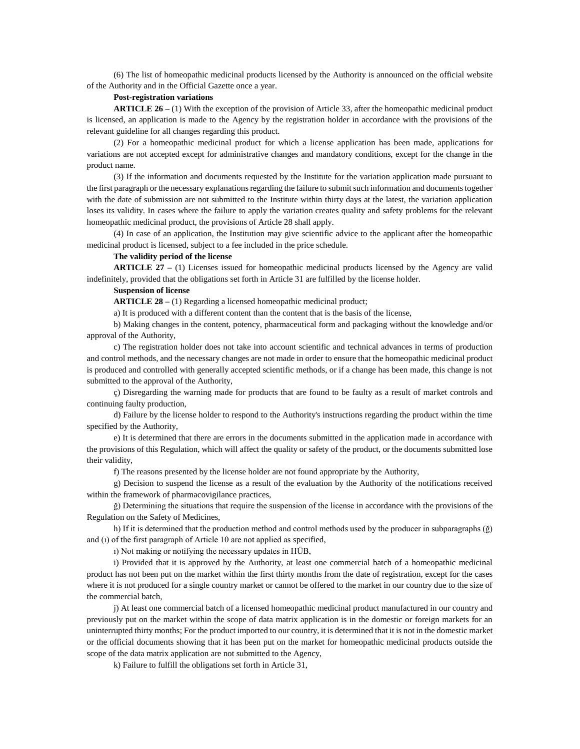(6) The list of homeopathic medicinal products licensed by the Authority is announced on the official website of the Authority and in the Official Gazette once a year.

#### **Post-registration variations**

**ARTICLE 26 –** (1) With the exception of the provision of Article 33, after the homeopathic medicinal product is licensed, an application is made to the Agency by the registration holder in accordance with the provisions of the relevant guideline for all changes regarding this product.

(2) For a homeopathic medicinal product for which a license application has been made, applications for variations are not accepted except for administrative changes and mandatory conditions, except for the change in the product name.

(3) If the information and documents requested by the Institute for the variation application made pursuant to the first paragraph or the necessary explanations regarding the failure to submit such information and documents together with the date of submission are not submitted to the Institute within thirty days at the latest, the variation application loses its validity. In cases where the failure to apply the variation creates quality and safety problems for the relevant homeopathic medicinal product, the provisions of Article 28 shall apply.

(4) In case of an application, the Institution may give scientific advice to the applicant after the homeopathic medicinal product is licensed, subject to a fee included in the price schedule.

## **The validity period of the license**

**ARTICLE 27 –** (1) Licenses issued for homeopathic medicinal products licensed by the Agency are valid indefinitely, provided that the obligations set forth in Article 31 are fulfilled by the license holder.

## **Suspension of license**

**ARTICLE 28 –** (1) Regarding a licensed homeopathic medicinal product;

a) It is produced with a different content than the content that is the basis of the license,

b) Making changes in the content, potency, pharmaceutical form and packaging without the knowledge and/or approval of the Authority,

c) The registration holder does not take into account scientific and technical advances in terms of production and control methods, and the necessary changes are not made in order to ensure that the homeopathic medicinal product is produced and controlled with generally accepted scientific methods, or if a change has been made, this change is not submitted to the approval of the Authority,

ç) Disregarding the warning made for products that are found to be faulty as a result of market controls and continuing faulty production,

d) Failure by the license holder to respond to the Authority's instructions regarding the product within the time specified by the Authority,

e) It is determined that there are errors in the documents submitted in the application made in accordance with the provisions of this Regulation, which will affect the quality or safety of the product, or the documents submitted lose their validity,

f) The reasons presented by the license holder are not found appropriate by the Authority,

g) Decision to suspend the license as a result of the evaluation by the Authority of the notifications received within the framework of pharmacovigilance practices,

ğ) Determining the situations that require the suspension of the license in accordance with the provisions of the Regulation on the Safety of Medicines,

h) If it is determined that the production method and control methods used by the producer in subparagraphs (ğ) and (ı) of the first paragraph of Article 10 are not applied as specified,

ı) Not making or notifying the necessary updates in HÜB,

i) Provided that it is approved by the Authority, at least one commercial batch of a homeopathic medicinal product has not been put on the market within the first thirty months from the date of registration, except for the cases where it is not produced for a single country market or cannot be offered to the market in our country due to the size of the commercial batch,

j) At least one commercial batch of a licensed homeopathic medicinal product manufactured in our country and previously put on the market within the scope of data matrix application is in the domestic or foreign markets for an uninterrupted thirty months; For the product imported to our country, it is determined that it is not in the domestic market or the official documents showing that it has been put on the market for homeopathic medicinal products outside the scope of the data matrix application are not submitted to the Agency,

k) Failure to fulfill the obligations set forth in Article 31,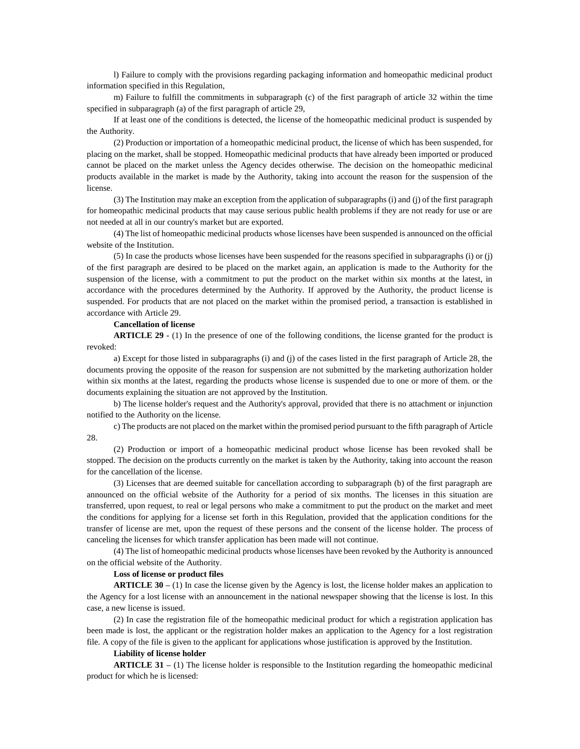l) Failure to comply with the provisions regarding packaging information and homeopathic medicinal product information specified in this Regulation,

m) Failure to fulfill the commitments in subparagraph (c) of the first paragraph of article 32 within the time specified in subparagraph (a) of the first paragraph of article 29,

If at least one of the conditions is detected, the license of the homeopathic medicinal product is suspended by the Authority.

(2) Production or importation of a homeopathic medicinal product, the license of which has been suspended, for placing on the market, shall be stopped. Homeopathic medicinal products that have already been imported or produced cannot be placed on the market unless the Agency decides otherwise. The decision on the homeopathic medicinal products available in the market is made by the Authority, taking into account the reason for the suspension of the license.

(3) The Institution may make an exception from the application of subparagraphs (i) and (j) of the first paragraph for homeopathic medicinal products that may cause serious public health problems if they are not ready for use or are not needed at all in our country's market but are exported.

(4) The list of homeopathic medicinal products whose licenses have been suspended is announced on the official website of the Institution.

(5) In case the products whose licenses have been suspended for the reasons specified in subparagraphs (i) or (j) of the first paragraph are desired to be placed on the market again, an application is made to the Authority for the suspension of the license, with a commitment to put the product on the market within six months at the latest, in accordance with the procedures determined by the Authority. If approved by the Authority, the product license is suspended. For products that are not placed on the market within the promised period, a transaction is established in accordance with Article 29.

## **Cancellation of license**

**ARTICLE 29 -** (1) In the presence of one of the following conditions, the license granted for the product is revoked:

a) Except for those listed in subparagraphs (i) and (j) of the cases listed in the first paragraph of Article 28, the documents proving the opposite of the reason for suspension are not submitted by the marketing authorization holder within six months at the latest, regarding the products whose license is suspended due to one or more of them. or the documents explaining the situation are not approved by the Institution.

b) The license holder's request and the Authority's approval, provided that there is no attachment or injunction notified to the Authority on the license.

c) The products are not placed on the market within the promised period pursuant to the fifth paragraph of Article 28.

(2) Production or import of a homeopathic medicinal product whose license has been revoked shall be stopped. The decision on the products currently on the market is taken by the Authority, taking into account the reason for the cancellation of the license.

(3) Licenses that are deemed suitable for cancellation according to subparagraph (b) of the first paragraph are announced on the official website of the Authority for a period of six months. The licenses in this situation are transferred, upon request, to real or legal persons who make a commitment to put the product on the market and meet the conditions for applying for a license set forth in this Regulation, provided that the application conditions for the transfer of license are met, upon the request of these persons and the consent of the license holder. The process of canceling the licenses for which transfer application has been made will not continue.

(4) The list of homeopathic medicinal products whose licenses have been revoked by the Authority is announced on the official website of the Authority.

## **Loss of license or product files**

**ARTICLE 30 –** (1) In case the license given by the Agency is lost, the license holder makes an application to the Agency for a lost license with an announcement in the national newspaper showing that the license is lost. In this case, a new license is issued.

(2) In case the registration file of the homeopathic medicinal product for which a registration application has been made is lost, the applicant or the registration holder makes an application to the Agency for a lost registration file. A copy of the file is given to the applicant for applications whose justification is approved by the Institution.

## **Liability of license holder**

**ARTICLE 31** – (1) The license holder is responsible to the Institution regarding the homeopathic medicinal product for which he is licensed: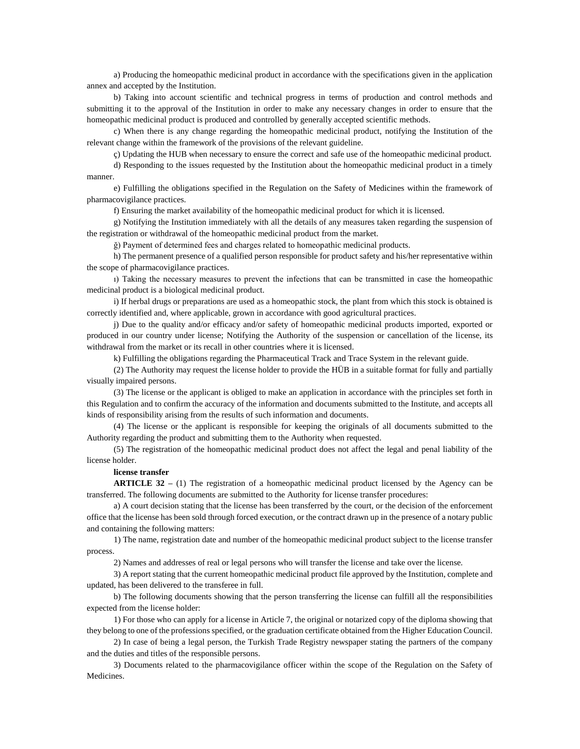a) Producing the homeopathic medicinal product in accordance with the specifications given in the application annex and accepted by the Institution.

b) Taking into account scientific and technical progress in terms of production and control methods and submitting it to the approval of the Institution in order to make any necessary changes in order to ensure that the homeopathic medicinal product is produced and controlled by generally accepted scientific methods.

c) When there is any change regarding the homeopathic medicinal product, notifying the Institution of the relevant change within the framework of the provisions of the relevant guideline.

ç) Updating the HUB when necessary to ensure the correct and safe use of the homeopathic medicinal product.

d) Responding to the issues requested by the Institution about the homeopathic medicinal product in a timely manner.

e) Fulfilling the obligations specified in the Regulation on the Safety of Medicines within the framework of pharmacovigilance practices.

f) Ensuring the market availability of the homeopathic medicinal product for which it is licensed.

g) Notifying the Institution immediately with all the details of any measures taken regarding the suspension of the registration or withdrawal of the homeopathic medicinal product from the market.

ğ) Payment of determined fees and charges related to homeopathic medicinal products.

h) The permanent presence of a qualified person responsible for product safety and his/her representative within the scope of pharmacovigilance practices.

ı) Taking the necessary measures to prevent the infections that can be transmitted in case the homeopathic medicinal product is a biological medicinal product.

i) If herbal drugs or preparations are used as a homeopathic stock, the plant from which this stock is obtained is correctly identified and, where applicable, grown in accordance with good agricultural practices.

j) Due to the quality and/or efficacy and/or safety of homeopathic medicinal products imported, exported or produced in our country under license; Notifying the Authority of the suspension or cancellation of the license, its withdrawal from the market or its recall in other countries where it is licensed.

k) Fulfilling the obligations regarding the Pharmaceutical Track and Trace System in the relevant guide.

(2) The Authority may request the license holder to provide the HÜB in a suitable format for fully and partially visually impaired persons.

(3) The license or the applicant is obliged to make an application in accordance with the principles set forth in this Regulation and to confirm the accuracy of the information and documents submitted to the Institute, and accepts all kinds of responsibility arising from the results of such information and documents.

(4) The license or the applicant is responsible for keeping the originals of all documents submitted to the Authority regarding the product and submitting them to the Authority when requested.

(5) The registration of the homeopathic medicinal product does not affect the legal and penal liability of the license holder.

## **license transfer**

**ARTICLE 32 –** (1) The registration of a homeopathic medicinal product licensed by the Agency can be transferred. The following documents are submitted to the Authority for license transfer procedures:

a) A court decision stating that the license has been transferred by the court, or the decision of the enforcement office that the license has been sold through forced execution, or the contract drawn up in the presence of a notary public and containing the following matters:

1) The name, registration date and number of the homeopathic medicinal product subject to the license transfer process.

2) Names and addresses of real or legal persons who will transfer the license and take over the license.

3) A report stating that the current homeopathic medicinal product file approved by the Institution, complete and updated, has been delivered to the transferee in full.

b) The following documents showing that the person transferring the license can fulfill all the responsibilities expected from the license holder:

1) For those who can apply for a license in Article 7, the original or notarized copy of the diploma showing that they belong to one of the professions specified, or the graduation certificate obtained from the Higher Education Council.

2) In case of being a legal person, the Turkish Trade Registry newspaper stating the partners of the company and the duties and titles of the responsible persons.

3) Documents related to the pharmacovigilance officer within the scope of the Regulation on the Safety of Medicines.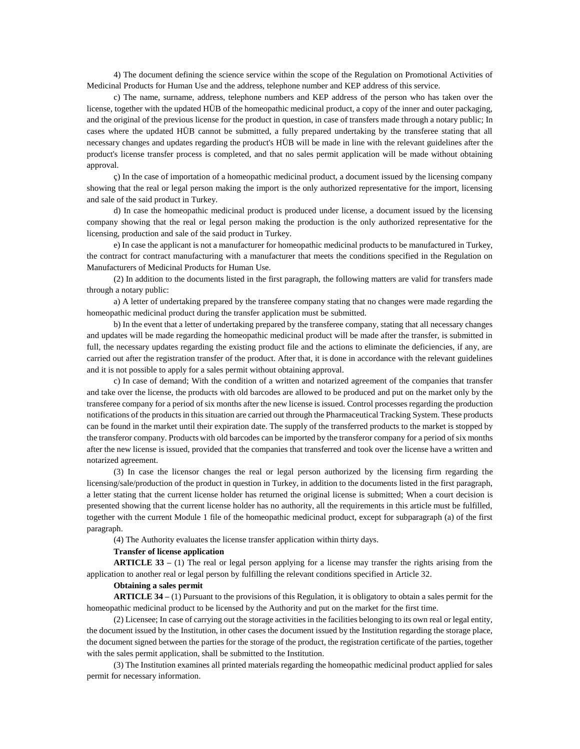4) The document defining the science service within the scope of the Regulation on Promotional Activities of Medicinal Products for Human Use and the address, telephone number and KEP address of this service.

c) The name, surname, address, telephone numbers and KEP address of the person who has taken over the license, together with the updated HÜB of the homeopathic medicinal product, a copy of the inner and outer packaging, and the original of the previous license for the product in question, in case of transfers made through a notary public; In cases where the updated HÜB cannot be submitted, a fully prepared undertaking by the transferee stating that all necessary changes and updates regarding the product's HÜB will be made in line with the relevant guidelines after the product's license transfer process is completed, and that no sales permit application will be made without obtaining approval.

ç) In the case of importation of a homeopathic medicinal product, a document issued by the licensing company showing that the real or legal person making the import is the only authorized representative for the import, licensing and sale of the said product in Turkey.

d) In case the homeopathic medicinal product is produced under license, a document issued by the licensing company showing that the real or legal person making the production is the only authorized representative for the licensing, production and sale of the said product in Turkey.

e) In case the applicant is not a manufacturer for homeopathic medicinal products to be manufactured in Turkey, the contract for contract manufacturing with a manufacturer that meets the conditions specified in the Regulation on Manufacturers of Medicinal Products for Human Use.

(2) In addition to the documents listed in the first paragraph, the following matters are valid for transfers made through a notary public:

a) A letter of undertaking prepared by the transferee company stating that no changes were made regarding the homeopathic medicinal product during the transfer application must be submitted.

b) In the event that a letter of undertaking prepared by the transferee company, stating that all necessary changes and updates will be made regarding the homeopathic medicinal product will be made after the transfer, is submitted in full, the necessary updates regarding the existing product file and the actions to eliminate the deficiencies, if any, are carried out after the registration transfer of the product. After that, it is done in accordance with the relevant guidelines and it is not possible to apply for a sales permit without obtaining approval.

c) In case of demand; With the condition of a written and notarized agreement of the companies that transfer and take over the license, the products with old barcodes are allowed to be produced and put on the market only by the transferee company for a period of six months after the new license is issued. Control processes regarding the production notifications of the products in this situation are carried out through the Pharmaceutical Tracking System. These products can be found in the market until their expiration date. The supply of the transferred products to the market is stopped by the transferor company. Products with old barcodes can be imported by the transferor company for a period of six months after the new license is issued, provided that the companies that transferred and took over the license have a written and notarized agreement.

(3) In case the licensor changes the real or legal person authorized by the licensing firm regarding the licensing/sale/production of the product in question in Turkey, in addition to the documents listed in the first paragraph, a letter stating that the current license holder has returned the original license is submitted; When a court decision is presented showing that the current license holder has no authority, all the requirements in this article must be fulfilled, together with the current Module 1 file of the homeopathic medicinal product, except for subparagraph (a) of the first paragraph.

(4) The Authority evaluates the license transfer application within thirty days.

## **Transfer of license application**

**ARTICLE 33 –** (1) The real or legal person applying for a license may transfer the rights arising from the application to another real or legal person by fulfilling the relevant conditions specified in Article 32.

#### **Obtaining a sales permit**

**ARTICLE 34 –** (1) Pursuant to the provisions of this Regulation, it is obligatory to obtain a sales permit for the homeopathic medicinal product to be licensed by the Authority and put on the market for the first time.

(2) Licensee; In case of carrying out the storage activities in the facilities belonging to its own real or legal entity, the document issued by the Institution, in other cases the document issued by the Institution regarding the storage place, the document signed between the parties for the storage of the product, the registration certificate of the parties, together with the sales permit application, shall be submitted to the Institution.

(3) The Institution examines all printed materials regarding the homeopathic medicinal product applied for sales permit for necessary information.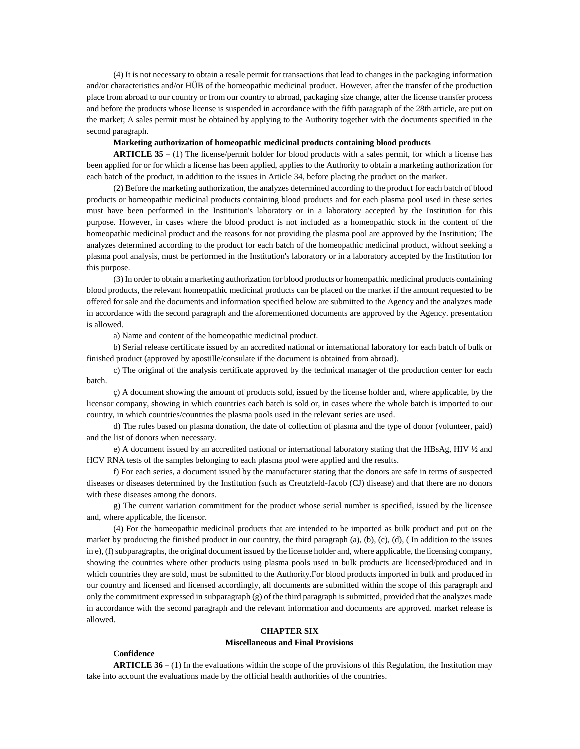(4) It is not necessary to obtain a resale permit for transactions that lead to changes in the packaging information and/or characteristics and/or HÜB of the homeopathic medicinal product. However, after the transfer of the production place from abroad to our country or from our country to abroad, packaging size change, after the license transfer process and before the products whose license is suspended in accordance with the fifth paragraph of the 28th article, are put on the market; A sales permit must be obtained by applying to the Authority together with the documents specified in the second paragraph.

## **Marketing authorization of homeopathic medicinal products containing blood products**

**ARTICLE 35 –** (1) The license/permit holder for blood products with a sales permit, for which a license has been applied for or for which a license has been applied, applies to the Authority to obtain a marketing authorization for each batch of the product, in addition to the issues in Article 34, before placing the product on the market.

(2) Before the marketing authorization, the analyzes determined according to the product for each batch of blood products or homeopathic medicinal products containing blood products and for each plasma pool used in these series must have been performed in the Institution's laboratory or in a laboratory accepted by the Institution for this purpose. However, in cases where the blood product is not included as a homeopathic stock in the content of the homeopathic medicinal product and the reasons for not providing the plasma pool are approved by the Institution; The analyzes determined according to the product for each batch of the homeopathic medicinal product, without seeking a plasma pool analysis, must be performed in the Institution's laboratory or in a laboratory accepted by the Institution for this purpose.

(3) In order to obtain a marketing authorization for blood products or homeopathic medicinal products containing blood products, the relevant homeopathic medicinal products can be placed on the market if the amount requested to be offered for sale and the documents and information specified below are submitted to the Agency and the analyzes made in accordance with the second paragraph and the aforementioned documents are approved by the Agency. presentation is allowed.

a) Name and content of the homeopathic medicinal product.

b) Serial release certificate issued by an accredited national or international laboratory for each batch of bulk or finished product (approved by apostille/consulate if the document is obtained from abroad).

c) The original of the analysis certificate approved by the technical manager of the production center for each batch.

ç) A document showing the amount of products sold, issued by the license holder and, where applicable, by the licensor company, showing in which countries each batch is sold or, in cases where the whole batch is imported to our country, in which countries/countries the plasma pools used in the relevant series are used.

d) The rules based on plasma donation, the date of collection of plasma and the type of donor (volunteer, paid) and the list of donors when necessary.

e) A document issued by an accredited national or international laboratory stating that the HBsAg, HIV ½ and HCV RNA tests of the samples belonging to each plasma pool were applied and the results.

f) For each series, a document issued by the manufacturer stating that the donors are safe in terms of suspected diseases or diseases determined by the Institution (such as Creutzfeld-Jacob (CJ) disease) and that there are no donors with these diseases among the donors.

g) The current variation commitment for the product whose serial number is specified, issued by the licensee and, where applicable, the licensor.

(4) For the homeopathic medicinal products that are intended to be imported as bulk product and put on the market by producing the finished product in our country, the third paragraph (a), (b), (c), (d), ( In addition to the issues in e), (f) subparagraphs, the original document issued by the license holder and, where applicable, the licensing company, showing the countries where other products using plasma pools used in bulk products are licensed/produced and in which countries they are sold, must be submitted to the Authority. For blood products imported in bulk and produced in our country and licensed and licensed accordingly, all documents are submitted within the scope of this paragraph and only the commitment expressed in subparagraph  $(g)$  of the third paragraph is submitted, provided that the analyzes made in accordance with the second paragraph and the relevant information and documents are approved. market release is allowed.

## **CHAPTER SIX**

## **Miscellaneous and Final Provisions**

# **Confidence**

**ARTICLE 36** – (1) In the evaluations within the scope of the provisions of this Regulation, the Institution may take into account the evaluations made by the official health authorities of the countries.